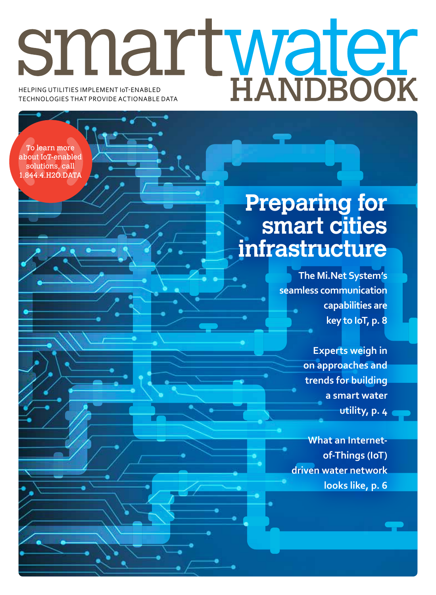# Helping utilities implement IoT-enabled technologies that provide actionable data

'o learn more about IoT-enabled solutions, call 1.844.4.H2O.DATA

## **Preparing for smart cities infrastructure**

**The Mi.Net System's seamless communication capabilities are key to IoT, p. 8**

> **Experts weigh in on approaches and trends for building a smart water utility, p. 4**

**What an Internetof-Things (IoT) driven water network looks like, p. 6**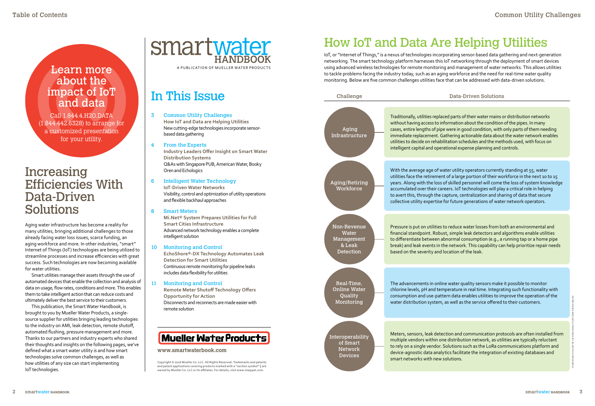ven Solutions

eir water mains or distribution networks ut the condition of the pipes. In many condition, with only parts of them needing nable data about the water network enables ules and the methods used, with focus on ie planning and controls.

erators currently standing at 55, water rtion of their workforce in the next 10 to 15 onnel will come the loss of system knowledge nologies will play a critical role in helping tization and sharing of data that secure erations of water network operators.

er losses from both an environmental and detectors and algorithms enable utilities Imption (e.g., a running tap or a home pipe his capability can help prioritize repair needs

ty sensors make it possible to monitor al time. Integrating such functionality with les utilities to improve the operation of the service offered to their customers.

munication protocols are often installed from network, as utilities are typically reluctant as the LoRa communications platform and the integration of existing databases and

## How IoT and Data Are Helping Utilities

### Increasing Efficiencies With Data-Driven Solutions

Aging water infrastructure has become a reality for many utilities, bringing additional challenges to those already facing water loss issues, scarce funding, an aging workforce and more. In other industries, "smart" Internet of Things (IoT) technologies are being utilized to streamline processes and increase efficiencies with great success. Such technologies are now becoming available for water utilities.

Smart utilities manage their assets through the use of automated devices that enable the collection and analysis of data on usage, flow rates, conditions and more. This enables them to take intelligent action that can reduce costs and ultimately deliver the best service to their customers.

This publication, the Smart Water Handbook, is brought to you by Mueller Water Products, a singlesource supplier for utilities bringing leading technologies to the industry on AMI, leak detection, remote shutoff, automated flushing, pressure management and more. Thanks to our partners and industry experts who shared their thoughts and insights on the following pages, we've defined what a smart water utility is and how smart technologies solve common challenges, as well as how utilities of any size can start implementing IoT technologies.

smartwater a publication of mueller water products

### In This Issue

- 3 Common Utility Challenges **How IoT and Data are Helping Utilities** New cutting-edge technologies incorporate sensorbased data gathering
- 4 From the Experts **Industry Leaders Offer Insight on Smart Water Distribution Systems** Q&As with Singapore PUB, American Water, Booky Oren and Echologics
- 6 Intelligent Water Technology **IoT-Driven Water Networks** Visibility, control and optimization of utility operations and flexible backhaul approaches
- 8 Smart Meters **Mi.Net® System Prepares Utilities for Full Smart Cities Infrastructure** Advanced network technology enables a complete intelligent solution
- 10 Monitoring and Control **EchoShore®-DX Technology Automates Leak Detection for Smart Utilities** Continuous remote monitoring for pipeline leaks includes data flexibility for utilities
- 11 Monitoring and Control **Remote Meter Shutoff Technology Offers Opportunity for Action** Disconnects and reconnects are made easier with remote solution



| Challenge                                                        | Data-Driven S                                                                                                                                                                                                                                                                                                         |
|------------------------------------------------------------------|-----------------------------------------------------------------------------------------------------------------------------------------------------------------------------------------------------------------------------------------------------------------------------------------------------------------------|
| Aging<br><b>Infrastructure</b>                                   | Traditionally, utilities replaced parts of their wat<br>without having access to information about the<br>cases, entire lengths of pipe were in good condi<br>immediate replacement. Gathering actionable o<br>utilities to decide on rehabilitation schedules an<br>intelligent capital and operational expense plan |
| Aging/Retiring<br>Workforce                                      | With the average age of water utility operators<br>utilities face the retirement of a large portion o<br>years. Along with the loss of skilled personnel<br>accumulated over their careers. IoT technologi<br>to avert this, through the capture, centralizatio<br>collective utility expertise for future generatio  |
| Non-Revenue<br>Water<br>Management<br>& Leak<br><b>Detection</b> | Pressure is put on utilities to reduce water loss<br>financial standpoint. Robust, simple leak deted<br>to differentiate between abnormal consumptio<br>break) and leak events in the network. This cap<br>based on the severity and location of the leak.                                                            |
| Real-Time,<br><b>Online Water</b><br>Quality<br>Monitoring       | The advancements in online water quality sens<br>chlorine levels, pH and temperature in real tim<br>consumption and use-pattern data enables uti<br>water distribution system, as well as the servic                                                                                                                  |
| Interoperability<br>of Smart<br><b>Network</b><br><b>Devices</b> | Meters, sensors, leak detection and communic<br>multiple vendors within one distribution netwo<br>to rely on a single vendor. Solutions such as the<br>device-agnostic data analytics facilitate the int<br>smart networks with new solutions.                                                                        |

### **www.smartwaterbook.com**

**Copyright © 2016 Mueller Co. LLC. All Rights Reserved. Trademarks and patents and patent applications covering products marked with a "section symbol" § are owned by Mueller Co. LLC or its affiliates. For details, visit www.mwppat.com.**

### Learn more about the impact of IoT and data

Call 1.844.4.H2O.DATA (1.844.442.6328) to arrange for a customized presentation for your utility.

IoT, or "Internet of Things," is a nexus of technologies incorporating sensor-based data gathering and next-generation networking. The smart technology platform harnesses this IoT networking through the deployment of smart devices using advanced wireless technologies for remote monitoring and management of water networks. This allows utilities to tackle problems facing the industry today, such as an aging workforce and the need for real-time water quality monitoring. Below are five common challenges utilities face that can be addressed with data-driven solutions.

> **Interviews and Data Provided By Bluetech Research**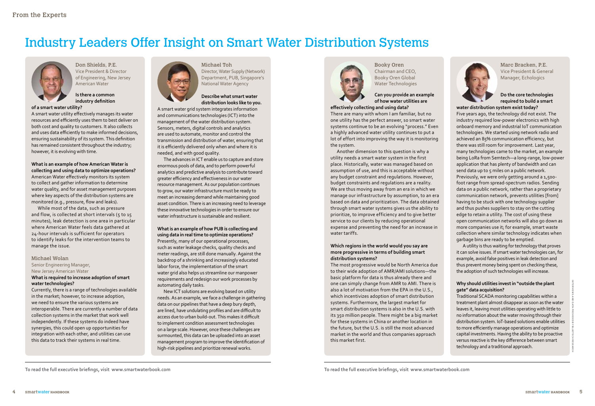

## Industry Leaders Offer Insight on Smart Water Distribution Systems



Michael Toh Director, Water Supply (Network) Department, PUB, Singapore's National Water Agency

#### **Describe what smart water distribution looks like to you.**

A smart water grid system integrates information and communications technologies (ICT) into the management of the water distribution system. Sensors, meters, digital controls and analytics are used to automate, monitor and control the transmission and distribution of water, ensuring that it is efficiently delivered only when and where it is needed, and with good quality.

The advances in ICT enable us to capture and store enormous pools of data, and to perform powerful analytics and predictive analysis to contribute toward greater efficiency and effectiveness in our water resource management. As our population continues to grow, our water infrastructure must be ready to meet an increasing demand while maintaining good asset condition. There is an increasing need to leverage these innovative technologies in order to ensure our water infrastructure is sustainable and resilient.

**What is an example of how PUB is collecting and using data in real time to optimize operations?** Presently, many of our operational processes, such as water leakage checks, quality checks and meter readings, are still done manually. Against the backdrop of a shrinking and increasingly educated labor force, the implementation of the smart water grid also helps us streamline our manpower requirements and redesign our work processes by automating daily tasks.

New ICT solutions are evolving based on utility needs. As an example, we face a challenge in gathering data on our pipelines that have a deep bury depth, are lined, have undulating profiles and are difficult to access due to urban build-out. This makes it difficult to implement condition assessment technologies on a large scale. However, once these challenges are surmounted, this data can be uploaded into an asset management program to improve the identification of high-risk pipelines and prioritize renewal works.



**To read the full executive briefings, visit www.smartwaterbook.com**

Don Shields, P.E. Vice President & Director of Engineering, New Jersey American Water

**Is there a common industry definition** 

#### **of a smart water utility?**

A smart water utility effectively manages its water resources and efficiently uses them to best deliver on both cost and quality to customers. It also collects and uses data efficiently to make informed decisions, ensuring sustainability of its system. This definition has remained consistent throughout the industry; however, it is evolving with time.

**What is an example of how American Water is collecting and using data to optimize operations?** American Water effectively monitors its system to collect and gather information to determine water quality, and for asset management purposes where key aspects of the distribution systems are monitored (e.g., pressure, flow and leaks).

five years ago, the technology did not exist. The industry required low-power electronics with high onboard memory and industrial ioT communication technologies. We started using network radio and achieved an 85% communication efficiency, but there was still room for improvement. last year, many technologies came to the market, an example being LoRa from Semtech-a long-range, low-power application that has plenty of bandwidth and can send data up to 5 miles on a public network.

While most of the data, such as pressure and flow, is collected at short intervals (5 to 15 minutes), leak detection is one area in particular where American Water feels data gathered at 24-hour intervals is sufficient for operators to identify leaks for the intervention teams to manage the issue.

#### Michael Wolan

Senior Engineering Manager, New Jersey American Water

### **What is required to increase adoption of smart water technologies?**

Currently, there is a range of technologies available in the market; however, to increase adoption, we need to ensure the various systems are interoperable. There are currently a number of data collection systems in the market that work well independently. If these systems do indeed have synergies, this could open up opportunities for integration with each other, and utilities can use this data to track their systems in real time.



Booky Oren Chairman and CEO, Booky Oren Global Water Technologies

### **Can you provide an example of how water utilities are**

**effectively collecting and using data?**

There are many with whom I am familiar, but no one utility has the perfect answer, so smart water systems continue to be an evolving "process." Even a highly advanced water utility continues to put a lot of effort into improving the way it is monitoring the system.

Another dimension to this question is why a utility needs a smart water system in the first place. Historically, water was managed based on assumption of use, and this is acceptable without any budget constraint and regulations. However, budget constraints and regulations are a reality. We are thus moving away from an era in which we manage our infrastructure by assumption, to an era based on data and prioritization. The data obtained through smart water systems gives us the ability to prioritize, to improve efficiency and to give better service to our clients by reducing operational expense and preventing the need for an increase in water tariffs.

#### **Which regions in the world would you say are more progressive in terms of building smart distribution systems?**

The most progressive would be North America due to their wide adoption of AMR/AMI solutions—the basic platform for data is thus already there and one can simply change from AMR to AMI. There is also a lot of motivation from the EPA in the U.S., which incentivizes adoption of smart distribution systems. Furthermore, the largest market for smart distribution systems is also in the U.S. with its 350 million people. There might be a big market for these systems in China or another location in the future, but the U.S. is still the most advanced market in the world and thus companies approach this market first.

Marc Bracken, P.E. Vice President & General Manager, Echologics

### **Do the core technologies required to build a smart water distribution system exist today?**

previously, we were only getting around a 1,500 foot range from spread-spectrum radios. Sending data on a public network, rather than a proprietary communication network, prevents utilities [from] having to be stuck with one technology supplier and thus pushes suppliers to stay on the cutting edge to retain a utility. The cost of using these open communication networks will also go down as more companies use it; for example, smart waste collection where similar technology indicates when garbage bins are ready to be emptied.

a utility is thus waiting for technology that proves it can solve issues. if smart water technologies can, for example, avoid false positives in leak detection and thus prevent money being spent on checking these,

the adoption of such technologies will increase. **Why should utilities invest in "outside the plant gate" data acquisition?**  Traditional SCADA monitoring capabilities within a treatment plant almost disappear as soon as the water leaves it, leaving most utilities operating with little to no information about the water moving through their distribution system. ioT-based solutions enable utilities to more efficiently manage operations and optimize capital investments. having the ability to be proactive versus reactive is the key difference between smart technology and a traditional approach.

**Inter**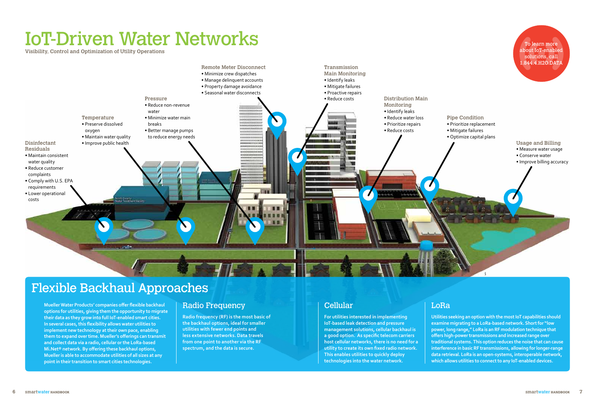## IoT-Driven Water Networks

Visibility, Control and Optimization of Utility Operations

**Radio frequency (RF) is the most basic of the backhaul options, ideal for smaller utilities with fewer end points and less extensive networks. Data travels from one point to another via the RF spectrum, and the data is secure.** 

**For utilities interested in implementing IoT-based leak detection and pressure management solutions, cellular backhaul is a good option. As specific telecom carriers host cellular networks, there is no need for a utility to create its own fixed radio network. This enables utilities to quickly deploy technologies into the water network.** 

**Utilities seeking an option with the most IoT capabilities should examine migrating to a LoRa-based network. Short for "low power, long range," LoRa is an RF modulation technique that offers high-power transmissions and increased range over traditional systems. This option reduces the noise that can cause interference in basic RF transmissions, allowing for longer-range data retrieval. LoRa is an open-systems, interoperable network, which allows utilities to connect to any IoT-enabled devices.**



**Mueller Water Products' companies offer flexible backhaul options for utilities, giving them the opportunity to migrate their data as they grow into full IoT-enabled smart cities. In several cases, this flexibility allows water utilities to implement new technology at their own pace, enabling them to expand over time. Mueller's offerings can transmit and collect data via a radio, cellular or the LoRa-based Mi.Net® network. By offering these backhaul options, Mueller is able to accommodate utilities of all sizes at any point in their transition to smart cities technologies.** 

### Radio Frequency **Cellular** 2008 | Cellular 2008 | LoRa

### Flexible Backhaul Approaches

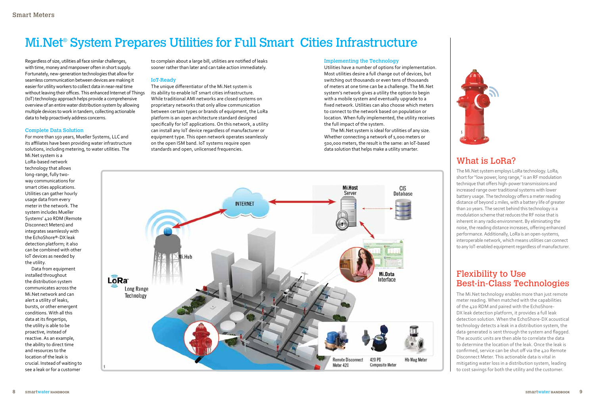### Flexibility to Use Best-in-Class Technologies

The Mi.Net technology enables more than just remote meter reading. When matched with the capabilities of the 420 RDM and paired with the EchoShore‐ DX leak detection platform, it provides a full leak detection solution. When the EchoShore‐DX acoustical technology detects a leak in a distribution system, the data generated is sent through the system and flagged. The acoustic units are then able to correlate the data to determine the location of the leak. Once the leak is confirmed, service can be shut off via the 420 Remote Disconnect Meter. This actionable data is vital in mitigating water loss in a distribution system, leading to cost savings for both the utility and the customer.

## Mi.Net® System Prepares Utilities for Full Smart Cities Infrastructure

Regardless of size, utilities all face similar challenges, with time, money and manpower often in short supply. Fortunately, new-generation technologies that allow for seamless communication between devices are making it easier for utility workers to collect data in near-real time without leaving their offices. This enhanced Internet of Things (IoT) technology approach helps provide a comprehensive overview of an entire water distribution system by allowing multiple devices to work in tandem, collecting actionable data to help proactively address concerns.

#### Complete Data Solution

For more than 150 years, Mueller Systems, LLC and its affiliates have been providing water infrastructure solutions, including metering, to water utilities. The

Mi.Net system is a LoRa‐based network technology that allows long‐range, fully two‐ way communications for smart cities applications. Utilities can gather hourly usage data from every meter in the network. The system includes Mueller Systems' 420 RDM (Remote Disconnect Meters) and integrates seamlessly with the EchoShore®‐DX leak detection platform; it also can be combined with other IoT devices as needed by the utility.

Data from equipment installed throughout the distribution system communicates across the Mi.Net network and can alert a utility of leaks, bursts, or other emergent conditions. With all this data at its fingertips, the utility is able to be proactive, instead of reactive. As an example, the ability to direct time and resources to the location of the leak is crucial. Instead of waiting to see a leak or for a customer

to complain about a large bill, utilities are notified of leaks sooner rather than later and can take action immediately.

### IoT-Ready

The unique differentiator of the Mi.Net system is its ability to enable IoT smart cities infrastructure. While traditional AMI networks are closed systems on proprietary networks that only allow communication between certain types or brands of equipment, the LoRa platform is an open architecture standard designed specifically for IoT applications. On this network, a utility can install any IoT device regardless of manufacturer or equipment type. This open network operates seamlessly on the open ISM band. IoT systems require open standards and open, unlicensed frequencies.

### What is LoRa?

The Mi.Net system employs LoRa technology. LoRa, short for "low power, long range," is an RF modulation technique that offers high-power transmissions and increased range over traditional systems with lower battery usage. The technology offers a meter reading distance of beyond 2 miles, with a battery life of greater than 20 years. The secret behind this technology is a modulation scheme that reduces the RF noise that is inherent in any radio environment. By eliminating the noise, the reading distance increases, offering enhanced performance. Additionally, LoRa is an open-systems, interoperable network, which means utilities can connect to any IoT-enabled equipment regardless of manufacturer.

### Implementing the Technology

Utilities have a number of options for implementation. Most utilities desire a full change out of devices, but switching out thousands or even tens of thousands of meters at one time can be a challenge. The Mi.Net system's network gives a utility the option to begin with a mobile system and eventually upgrade to a fixed network. Utilities can also choose which meters to connect to the network based on population or location. When fully implemented, the utility receives the full impact of the system.

The Mi.Net system is ideal for utilities of any size. Whether connecting a network of 1,000 meters or 500,000 meters, the result is the same: an IoT‐based data solution that helps make a utility smarter.



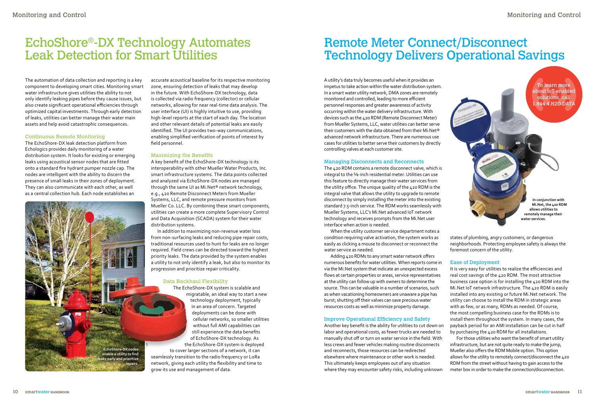### Monitoring and Control

### Remote Meter Connect/Disconnect Technology Delivers Operational Savings

A utility's data truly becomes useful when it provides an impetus to take action within the water distribution system. In a smart water utility network, DMA zones are remotely monitored and controlled, leading to more efficient personnel responses and greater awareness of activity occurring within the water delivery infrastructure. With devices such as the 420 RDM (Remote Disconnect Meter) from Mueller Systems, LLC, water utilities can better serve their customers with the data obtained from their Mi.Net® advanced network infrastructure. There are numerous use cases for utilities to better serve their customers by directly controlling valves at each customer site.



The 420 RDM contains a remote disconnect valve, which is integral to the 5/8-inch residential meter. Utilities can use this feature to directly manage their water services from the utility office. The unique quality of the 420 RDM is the integral valve that allows the utility to upgrade to remote disconnect by simply installing the meter into the existing standard 7.5-inch service. The RDM works seamlessly with Mueller Systems, LLC's Mi.Net advanced IoT network technology and receives prompts from the Mi.Net user interface when action is needed.

When the utility customer service department notes a condition requiring valve activation, the system works as easily as clicking a mouse to disconnect or reconnect the water service as needed.

Adding 420 RDMs to any smart water network offers numerous benefits for water utilities. When reports come in via the Mi.Net system that indicate an unexpected excess flows at certain properties or areas, service representatives at the utility can follow up with owners to determine the source. This can be valuable in a number of scenarios, such as when vacationing homeowners are unaware a pipe has burst; shutting off their valves can save precious water resources costs as well as minimize property damage.

### Improve Operational Efficiency and Safety

Another key benefit is the ability for utilities to cut down on labor and operational costs, as fewer trucks are needed to manually shut off or turn on water service in the field. With less crews and fewer vehicles making routine disconnects and reconnects, those resources can be redirected elsewhere where maintenance or other work is needed. This ultimately keeps employees out of any situation where they may encounter safety risks, including unknown



### EchoShore®-DX Technology Automates Leak Detection for Smart Utilities

The automation of data collection and reporting is a key component to developing smart cities. Monitoring smart water infrastructure gives utilities the ability to not only identify leaking pipes before they cause issues, but also create significant operational efficiencies through optimized capital investments. Through early detection of leaks, utilities can better manage their water main assets and help avoid catastrophic consequences.

#### Continuous Remote Monitoring

The EchoShore-DX leak detection platform from Echologics provides daily monitoring of a water distribution system. It looks for existing or emerging leaks using acoustical sensor nodes that are fitted onto a standard fire hydrant pumper nozzle cap. The nodes are intelligent with the ability to discern the presence of small leaks in their zones of deployment. They can also communicate with each other, as well as a central collection hub. Each node establishes an

accurate acoustical baseline for its respective monitoring zone, ensuring detection of leaks that may develop in the future. With EchoShore-DX technology, data is collected via radio frequency (collector) or cellular networks, allowing for near real-time data analysis. The user interface (UI) is highly intuitive to use, providing high-level reports at the start of each day. The location and other relevant details of potential leaks are easily identified. The UI provides two-way communications, enabling simplified verification of points of interest by field personnel.

### Maximizing the Benefits

A key benefit of the EchoShore-DX technology is its interoperability with other Mueller Water Products, Inc. smart infrastructure systems. The data points collected and analyzed via EchoShore-DX nodes are managed through the same UI as Mi.Net® network technology, e.g., 420 Remote Disconnect Meters from Mueller Systems, LLC, and remote pressure monitors from Mueller Co. LLC. By combining these smart components, utilities can create a more complete Supervisory Control and Data Acquisition (SCADA) system for their water distribution systems.

In addition to maximizing non-revenue water loss from non-surfacing leaks and reducing pipe repair costs, traditional resources used to hunt for leaks are no longer required. Field crews can be directed toward the highest priority leaks. The data provided by the system enables a utility to not only identify a leak, but also to monitor its progression and prioritize repair criticality.

### Data Backhaul Flexibility

The EchoShore-DX system is scalable and migratable, an ideal way to start a new technology deployment, typically in an area of concern. Targeted deployments can be done with cellular networks, so smaller utilities without full AMI capabilities can still experience the data benefits of EchoShore-DX technology. As the EchoShore-DX system is deployed to cover larger sections of a network, it can seamlessly transition to the radio frequency or LoRa network, giving each utility the flexibility and time to grow its use and management of data.

**In conjunction with Mi.Net, the 420 RDM allows utilities to remotely manage their water services.**

**EchoShore-DX nodes enable a utility to find leaks early and prioritize repairs.**

To learn more about IoT-enabled solutions, call 1.844.4.H2O.DATA

states of plumbing, angry customers, or dangerous neighborhoods. Protecting employee safety is always the foremost concern of the utility.

### Ease of Deployment

It is very easy for utilities to realize the efficiencies and real cost savings of the 420 RDM. The most attractive business case option is for installing the 420 RDM into the Mi.Net IoT network infrastructure. The 420 RDM is easily installed into any existing or future Mi.Net network. The utility can choose to install the RDM in strategic areas with as few, or as many, RDMs as needed. Of course, the most compelling business case for the RDMs is to install them throughout the system. In many cases, the payback period for an AMI installation can be cut in half by purchasing the 420 RDM for all installations. For those utilities who want the benefit of smart utility infrastructure, but are not quite ready to make the jump, Mueller also offers the RDM Mobile option. This option allows for the utility to remotely connect/disconnect the 420 RDM from the street without having to gain access to the meter box in order to make the connection/disconnection.